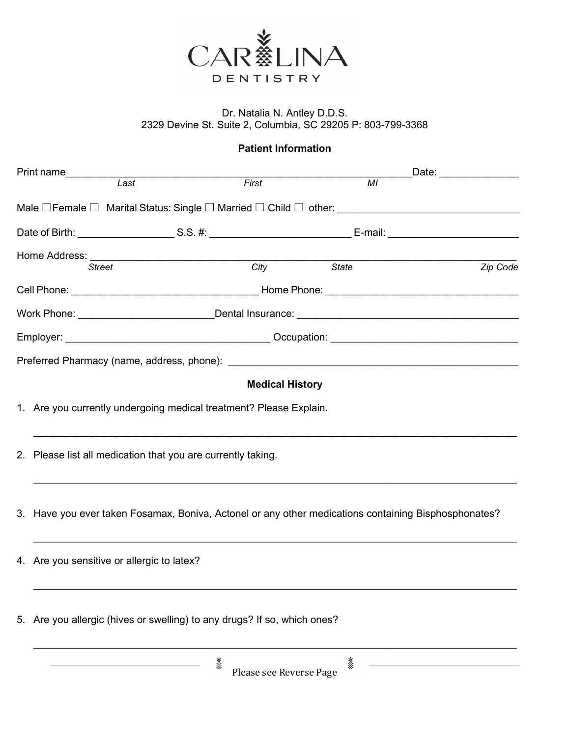

## Dr. Natalia N. Antley D.D.S. 2329 Devine St. Suite 2, Columbia, SC 29205 P: 803-799-3368

## Patient Information

|               | Print name___________                                                                                |      |       |                 | _Date: ______________ |  |  |
|---------------|------------------------------------------------------------------------------------------------------|------|-------|-----------------|-----------------------|--|--|
|               |                                                                                                      | Last | First | $\overline{MI}$ |                       |  |  |
|               |                                                                                                      |      |       |                 |                       |  |  |
|               |                                                                                                      |      |       |                 |                       |  |  |
| <b>Street</b> |                                                                                                      |      |       | City State      | Zip Code              |  |  |
|               |                                                                                                      |      |       |                 |                       |  |  |
|               |                                                                                                      |      |       |                 |                       |  |  |
|               |                                                                                                      |      |       |                 |                       |  |  |
|               |                                                                                                      |      |       |                 |                       |  |  |
|               | <b>Medical History</b>                                                                               |      |       |                 |                       |  |  |
|               | 1. Are you currently undergoing medical treatment? Please Explain.                                   |      |       |                 |                       |  |  |
|               | 2. Please list all medication that you are currently taking.                                         |      |       |                 |                       |  |  |
|               | 3. Have you ever taken Fosamax, Boniva, Actonel or any other medications containing Bisphosphonates? |      |       |                 |                       |  |  |
|               | 4. Are you sensitive or allergic to latex?                                                           |      |       |                 |                       |  |  |
|               | 5. Are you allergic (hives or swelling) to any drugs? If so, which ones?                             |      |       |                 |                       |  |  |
|               |                                                                                                      | 総纹   |       | 総               |                       |  |  |